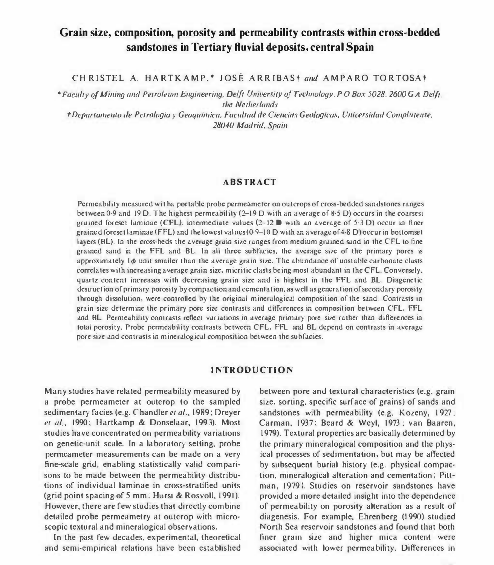# Grain size, composition, porosity and permeability contrasts within cross-bedded sandstones in Tertiary fluvial deposits, central Spain

CHRISTEL A. HARTKAMP,\* JOSÉ ARRIBASt and AMPARO TORTOSAT

\*Faculty of Mining and Petroleum Engineering, Delft University of Technology, PO Box 5028, 2600 G A Delft. the Netherlands

†Departamento de Petrologia y Geoquimica, Facultad de Ciencias Geologicas, Universidad Complutense, 28040 Madrid, Spain

## **ABSTRACT**

Permeability measured wit ha portable probe permeameter on outcrops of cross-bedded sandstones ranges between 0.9 and 19 D. The highest permeability (2-19 D with an average of  $8.5$  D) occurs in the coarsest grained foreset laminae (CFL), intermediate values  $(2-12)$  with an average of 5.3 D) occur in finer grained foreset laminae (FFL) and the lowest values (0.9–10 D with an average of 4.8 D) occur in bottomset layers (BL). In the cross-beds the average grain size ranges from medium grained sand in the CFL to fine grained sand in the FFL and BL. In all three subfacies, the average size of the primary pores is approximately  $I\phi$  unit smaller than the average grain size. The abundance of unstable carbonate clasts correlates with increasing average grain size, micritic clasts being most abundant in the CFL. Conversely, quartz content increases with decreasing grain size and is highest in the FFL and BL. Diagenetic destruction of primary porosity by compaction and cementation, as well as generation of secondary porosity through dissolution, were controlled by the original mineralogical composition of the sand. Contrasts in grain size determine the primary pore size contrasts and differences in composition between CFL. FFL and BL. Permeability contrasts reflect variations in average primary pore size rather than differences in total porosity, Probe permeability contrasts between CFL, FFL and BL depend on contrasts in average pore size and contrasts in mineralogical composition between the subfacies.

## **INTRODUCTION**

Many studies have related permeability measured by a probe permeameter at outcrop to the sampled sedimentary facies (e.g. Chandler et al., 1989; Dreyer et al., 1990; Hartkamp & Donselaar, 1993). Most studies have concentrated on permeability variations on genetic-unit scale. In a laboratory setting, probe permeameter measurements can be made on a very fine-scale grid, enabling statistically valid comparisons to be made between the permeability distributions of individual laminae in cross-stratified units (grid point spacing of 5 mm; Hurst & Rosvoll, 1991). However, there are few studies that directly combine detailed probe permeametry at outcrop with microscopic textural and mineralogical observations.

In the past few decades, experimental, theoretical and semi-empirical relations have been established

between pore and textural characteristics (e.g. grain size. sorting, specific surface of grains) of sands and sandstones with permeability (e.g. Kozeny, 1927; Carman, 1937; Beard & Weyl, 1973; van Baaren, 1979). Textural properties are basically determined by the primary mineralogical composition and the physical processes of sedimentation, but may be affected by subsequent burial history (e.g. physical compaction, mineralogical alteration and cementation; Pittman. 1979). Studies on reservoir sandstones have provided a more detailed insight into the dependence of permeability on porosity alteration as a result of diagenesis. For example, Ehrenberg (1990) studied North Sea reservoir sandstones and found that both finer grain size and higher mica content were associated with lower permeability. Differences in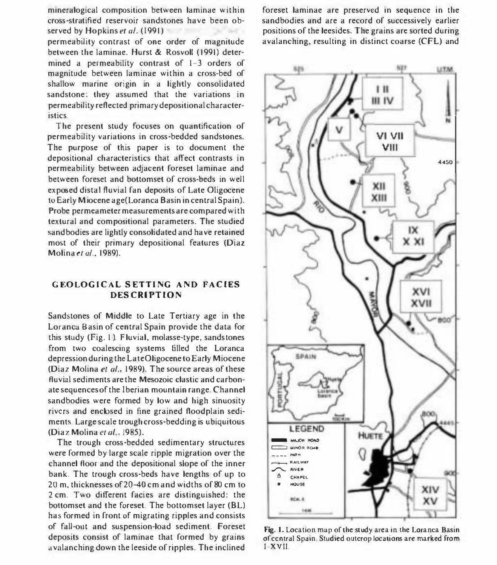mineralogical composition between laminae within cross-stratified reservoir sandstones have been ob-

permeability contrast of one order of magnitude between the laminae. Hurst & Rosvoll (1991) determined a permeability contrast of 1-3 orders of magnitude between laminae within a cross-bed of shallow marine origin in a lightly consolidated sandstone: they assumed that the variations in permeability reflected primary depositional characteristics.

The present study focuses on quantification of permeability variations in cross-bedded sandstones. The purpose of this paper is to document the depositional characteristics that affect contrasts in permeability between adjacent foreset laminae and between foreset and bottomset of cross-beds in well exposed distal fluvial fan deposits of Late Oligocene to Early Miocene age(Loranca Basin in central Spain). Probe permeameter measurements are compared wi th textural and compositional parameters. The studied sand bodies are lightly consolidated and have retained most of their primary depositional features (Diaz Molina et al., 1989).

## GEOLOGICAL SETTING AND FACIES **DESCRIPTION**

Sandstones of Middle to Late Tertiary age in the Loranca Basin of central Spain provide the data for this study (Fig. 1). Fluvial, molasse-type, sands tones from two coalescing systems filled the Loranca depression during the LateOligocene to Early Miocene (Diaz Molina et al., 1989). The source areas of these fluvial sediments are the Mesozoic clastic and carbonate sequences of the Iberian mountain range. Channel sandbodies were formed by low and high sinuosity rivers and encbsed in fine grained floodplain sediments. Large scale trough cross-bedding is ubiquitous (Diaz Molina et al., 1985).

The trough cross-bedded sedimentary structures were formed by large scale ripple migration over the channel floor and the depositional slope of the inner bank. The trough cross-beds have lengths of up to 20 m. thicknesses of 20-40 cm and widths of 80 cm to 2 cm. Two different facies are distinguished: the bottomset and the foreset. The bottomset layer (BL) has formed in front of migrating ripples and consists of fall-out and suspension-load sediment. Foreset deposits consist of laminae that formed by grains avalanching down the leeside of ripples. The inclined

served by Hopkins *et al.* (1991) to cause a significant of the leesides. The grains are sorted during foreset laminae are preserved in sequence in the sandbodies and are a record of successively earlier avalanching, resulting in distinct coarse (CFL) and



Fig. I. Location map of the study area in the Loranca Basin of central Spain. Studied outcrop locations are marked from I-XVII.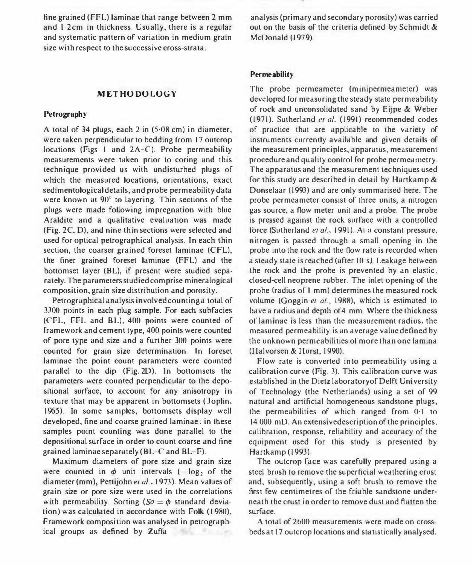fine grained (FFL) laminae that range between 2 mm and 1.2cm in thickness. Usually, there is a regular and systematic pattern of variation in medium grain size with respect to the successive cross-strata.

#### METHODOLOGY

#### Petrography

A total of 34 plugs, each 2 in (5·08 cm) in diameter, were taken perpendicular to bedding from 17 outcrop locations (Figs 1 and 2A-C). Probe permeability measurements were taken prior to coring and this technique provided us with undisturbed plugs of which the measured locations, orientations, exact sedimentological details, and probe permeability data were known at 90° to layering. Thin sections of the plugs were made following impregnation with blue Araldite and a qualitative evaluation was made (Fig. 2C, 0), and nine thin sections were selected and used for optical petrographical analysis. In each thin section, the coarser grained foreset laminae (CFL), the finer grained foreset laminae (FFL) and the bottomset layer (BL), if present were studied separately. The parameters studied comprise mineralogical composition, grain size distribution and porosity.

Petrographical analysis involved counting a total of 3300 points in each plug sample. For each subfacies (CFl, FFl and SL), 400 points were counted of framework and cement type, 400 points were counted of pore type and size and a further 300 points were counted for grain size determination. In foreset laminae the point count parameters were counted parallel to the dip (Fig. 20). In bottomsets the parameters were counted perpendicular to the depositional surface, to account for any anisotropy in texture that may be apparent in bottomsets (Joplin. 1965). In some samples, bottomsets display well developed, fine and coarse grained laminae; in these samples point counting was done parallel to the depositional surface in order to count coarse and fine grained laminae separately ( $BL-C$  and  $BL-F$ ).

Maximum diameters of pore size and grain size were counted in  $\phi$  unit intervals (-log, of the diameter (mm), Pettijohn et al., 1973). Mean values of grain size or pore size were used in the correlations with permeability. Sorting  $(So = \phi$  standard deviation) was calculated in accordance with Folk (1980). Framework composition was analysed in petrographical groups as defined by Zuffa

analysis (primary and secondary porosity) was carried out on the basis of the criteria defined by Schmidt & McDonald (1979).

#### Permeability

The probe permeameter (minipermeameter) was developed for measuring the steady state permeability of rock and unconsolidated sand by Eijpe & Weber  $(1971)$ . Sutherland et al.  $(1991)$  recommended codes of practice that are applicable to the variety of instruments currently available and given details of the measurement principles, apparatus, measurement procedure and quality control for probe permeametry. The apparatus and the measurement techniques used for this study are described in detail by Hartkamp & Oonselaar (1993) and are only summarised here. The probe permeameter consist of three units, a nitrogen gas source, a flow meter unit and a probe. The probe is pressed against the rock surface with a controlled force (Sutherland et al., 1991). At a constant pressure, nitrogen is passed through a small opening in the probe into the rock and the flow rate is recorded when a steady state is reached (after 10 s). Leakage between the rock and the probe is prevented by an elastic. closed-cell neoprene rubber. The inlet opening of the probe (radius of I mm) determines the measured rock volume (Goggin er al., 1988), which is estimated to have a radius and depth of 4 mm. Where the thickness of laminae is less than the measurement radius. the measured permeability is an average value defined by the unknown permeabilities of more than one lamina (Halvorsen & Hurst, 1990).

Flow rate is converted into permeability using a calibration curve (Fig. 3). This calibration curve was established in the Dietz laboratory of Delft University of Technology (the Netherlands) using a set of 99 natural and artificial homogeneous sandstone plugs, the permeabilities of which ranged from 0·1 to 14 000 mD. An extensivedescription of the principles, calibration, response, reliability and accuracy of the equipment used for this study is presented by Hartkamp (1993)

The outcrop face was carefully prepared using a steel brush to remove the superficial weathering crust and, subsequently, using a soft brush to remove the first few centimetres of the friable sandstone underneath the crust in order to remove dust and flatten the surface.

A total of 2600 measurements were made on crossbeds at 17 outcrop locations and statistically analysed.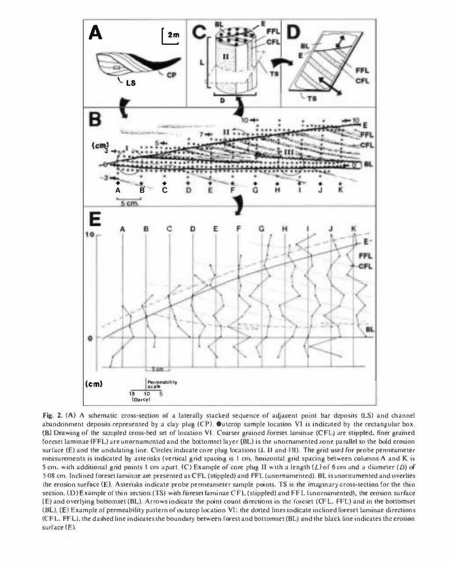

Fig. 2.  $(\Lambda)$  A schematic cross-section of a laterally stacked sequence of adjacent point bar deposits (LS) and channel abandonment deposits represented by a clay plug (CP). Outcrop sample location VI is indicated by the rectangular box. (B) Drawing of the sampled cross-bed set of location VL Coarser grained foreset laminae (CFL) are stippled. finer grained foreset laminae (FFL) are unornamented and the bottomset layer (BL) is the unornamented zone parallel to the bold erosion surface (E) and the undulating line. Circles indicate core plug locations (I, II and III). The grid used for probe penneameter measurements is indicated by asterisks (vertical grid spacing is I cm. horizontal grid spacing between columns A and K is 5 cm, with additional grid points 1 cm apart. (C) Example of core plug II with a length  $(L)$  of 6 cm and a diameter  $(D)$  of 508 cm. Inclined foreset laminae are presented as CFL (stippled) and FFL (unornamented). BL is unornamented and overlies the erosion surface (E). Asterisks indicate probe permeameter sample points. TS is the imaginary cross-section for the thin section. (D) Example of thin section (TS) with foreset laminae CFL (stippled) and FFL (unornamented), the erosion surface (E) and overlying bottomset (BL). Arrows indicate the point count directions in the foreset (CFL, FFL) and in the bottomset (BL). (E) Example of permeability pattern of outcrop location VI; the dotted lines indicate inclined loreset laminae directions (CFL, FFL), the dashed line indicates the boundary between forest and bottomset (BL) and the black line indicates the erosion surface (E).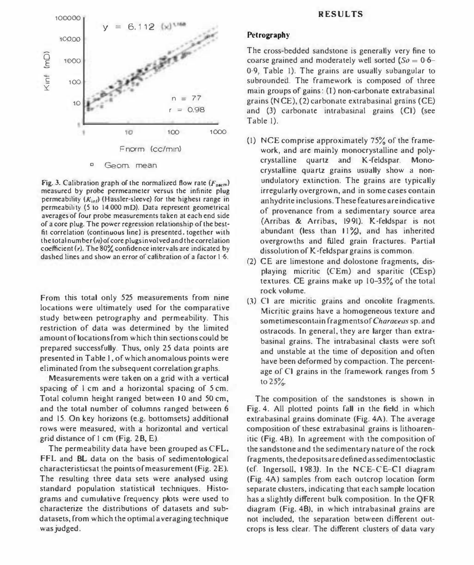

Fig. 3. Calibration graph of the normalized flow rate ( $F_{\text{norm}}$ ) measured by probe permeameter versus the infinite plug permeability  $(K_{\text{inf}})$  (Hassler-sleeve) for the highest range in permeability (5 to 14 000 mD). Data represent geometrical averages of four probe measurements taken at each end side of a core plug. The power regression relationship of the bestfit correlation (continuous line) is presented. together with the total number $(n)$  of core plugs involved and the correlation coefficient (r), The 80% confidence intervals are indicated by dashed lines and show an error of calibration of a factor 1.6.

From this total only 525 measurements from nine locations were ultimately used for the comparative study between petrography and permeability. This restriction of data was determined by the limited amount of locations from which thin sections could be prepared successfully. Thus. only 25 data points are presented in Table I. of which anomalous points were eliminated from the subsequent correlation graphs.

Measurements were taken on a grid with a vertical spacing of 1 cm and a horizontal spacing of 5 cm. Total column height ranged between 10 and 50 cm. and the total number of columns ranged between 6 and 15. On key horizons (e.g. bottom sets) additional rows were measured. with a horizontal and vertical grid distance of I cm (Fig. 28. E).

The permeability data have been grouped as CFL. FFL and 8L data on the basis of sedimentological characteristicsat the points of measurement (Fig. 2E). The resulting three data sets were analysed using standard population statistical techniques. Histograms and cumulative frequency plots were used to characterize the distributions of datasets and subdata sets, from which the optimal a veraging technique was judged.

# Petrography

The cross-bedded sandstone is generally very fine to coarse grained and moderately well sorted  $(So = 0.6$ -0 ·9, Table I). The grains are usually subangular to subrounded. The framework is composed of three  $main$  groups of gains: (I) non-carbonate extrabasinal grains (N CE), (2) carbonate extrabasinal grains (CE) and (3) carbonate intrabasinal grains (Cl) (see Table I).

- (1) NCE comprise approximately  $75\%$  of the framework, and are mainly monocrystalline and polycrystalline quartz and K-feldspar. Monocrystalline quartz grains usually show a nonundulatory extinction. The grains are typically irregularly overgrown, and in some cases contain anhydrite inclusions. These features are indicative of provenance from a sedimentary source area {Arribas & Arribas. 1991}. K-feldspar is not abundant (less than  $11\%$ ), and has inherited overgrowths and filled grain fractures. Partial dissolution of K-feldspar grains is common.
- (2) CE are limestone and dolostone fragments, displaying micritic (CEm) and sparitic (CEsp) textures. CE grains make up 10-35% of the total rock volume.
- (3) Cl are micritic grains and oncolite fragments. Micritic grains have a homogeneous texture and sometimescontain fragments of Characeas sp. and ostracods. In general, they are larger than extrabasinal grains. The intrabasinal clasts were soft and unstable at the time of deposition and often have been deformed by compaction. The percentage of Cl grains in the framework ranges from 5 to  $25%$ .

The composition of the sandstones is shown in Fig. 4. All plotted points fall in the field in which extrabasinal grains dominate (Fig. 4A). The average composition of these extrabasinal grains is lithoarenitic (Fig. 48). In agreement with the composition of the sandstone and the sedimentary nature of the rock fragments. the deposits are defined assedimentoclastic (cf. Ingersoll, 1983). In the NCE-CE-CI diagram (Fig. 4A) samples from each outcrop location form separate clusters, indicating that each sample location has a slightly different bulk composition. In the QFR diagram (Fig. 48), in which intrabasinal grains are not included. the separation between different outcrops is less clear. The different clusters of data vary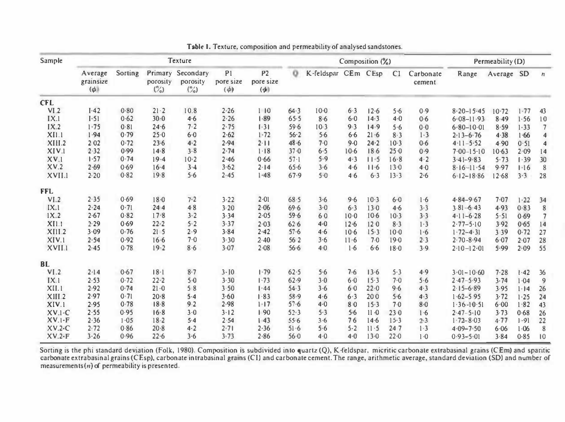| Sample     | Texture                          |         |                                       |                                          |                             |                                         | Composition (%) |                     |          |          |        |                     | Permeability (D) |            |          |                         |
|------------|----------------------------------|---------|---------------------------------------|------------------------------------------|-----------------------------|-----------------------------------------|-----------------|---------------------|----------|----------|--------|---------------------|------------------|------------|----------|-------------------------|
|            | Average<br>grainsize<br>$(\phi)$ | Sorting | Primary<br>porosity<br>$\binom{n}{c}$ | Secondary<br>porosity<br>$\binom{n}{20}$ | P1<br>pore size<br>$(\phi)$ | P <sub>2</sub><br>pore size<br>$(\phi)$ | o               | K-feldspar CEm CEsp |          |          | C1     | Carbonate<br>cement | Range            | Average SD |          | $\boldsymbol{n}$        |
| <b>CFL</b> |                                  |         |                                       |                                          |                             |                                         |                 |                     |          |          |        |                     |                  |            |          |                         |
| VI.2       | $I-42$                           | 0.80    | $21 - 2$                              | 10.8                                     | 2.26                        | 110                                     | $64 - 3$        | $10-0$              | $6 - 3$  | 12.6     | 5.6    | 0.9                 | $8.20 - 15.45$   | $10-72$    | $1 - 77$ | 43                      |
| IX.1       | $I-51$                           | 0.62    | 30.0                                  | 4.6                                      | 2.26                        | $1 - 89$                                | 65.5            | 8.6                 | $6 - 0$  | 14.3     | 4.0    | 0.6                 | $6.08 - 11.93$   | 8.49       | 1.56     | 10                      |
| IX.2       | $1 - 75$                         | 0.81    | 24.6                                  | 7.2                                      | 2.75                        | $\lceil \cdot 3 \rceil$                 | 59.6            | 10.3                | 9.3      | 14.9     | 5.6    | 0.0                 | $6.80 - 10.01$   | 8.59       | 1.33     | 7                       |
| XII.1      | 1.94                             | 0.79    | 25.0                                  | 6.0                                      | 2.62                        | $1 - 72$                                | 56.2            | 5.6                 | $6-6$    | $21 - 6$ | 8.3    | 1.3                 | $2.13 - 6.76$    | 4.38       | 1.66     | $\overline{\mathbf{4}}$ |
| XIII.2     | 202                              | 0.72    | 23.6                                  | 4.2                                      | 2.94                        | 2.11                                    | 48.6            | 7.0                 | 9.0      | 24.2     | $10-3$ | $0 - 6$             | $4.11 - 5.52$    | 4.90       | 0.51     | $\overline{\mathbf{4}}$ |
| XIV.1      | 2.32                             | 0.99    | 14.8                                  | 3.8                                      | 2.74                        | 1.18                                    | $37 - 0$        | 6.5                 | $10-6$   | 186      | 25.0   | 0.9                 | $7.00 - 15.10$   | 10.63      | 2.09     | 14                      |
| XV.1       | 1.57                             | 0.74    | 19.4                                  | $10-2$                                   | 2.46                        | 0.66                                    | $57 - 1$        | 5.9                 | 4.3      | 11.5     | 16.8   | $4 - 2$             | $3-41-9-83$      | 5.73       | 1.39     | 30                      |
| XV.2       | 2.69                             | 0.69    | $16 - 4$                              | $3 - 4$                                  | 3.62                        | 2.14                                    | 65.6            | 3.6                 | 4.6      | 11.6     | 13.0   | 4.0                 | $8.16 - 11.54$   | 9.97       | 1.16     | 8                       |
| XVII.1     | 2.20                             | 0.82    | 19.8                                  | $5-6$                                    | $2 - 45$                    | 1.48                                    | 67.9            | 5.0                 | 46       | 6.3      | 13.3   | 2.6                 | $6.12 - 18.86$   | 12.68      | 3.3      | 28                      |
| <b>FFL</b> |                                  |         |                                       |                                          |                             |                                         |                 |                     |          |          |        |                     |                  |            |          |                         |
| VI.2       | 2.35                             | 0.69    | 18.0                                  | 7.2                                      | 3.22                        | $2 - 01$                                | 68.5            | 3.6                 | 9.6      | 10.3     | $6-0$  | 1.6                 | $4.84 - 9.67$    | 7.07       | 1.22     | 34                      |
| IX.1       | 2.24                             | 0.71    | 244                                   | 4.8                                      | 3.20                        | $2 - 06$                                | 69.6            | $3-0$               | 6.3      | 13.0     | 4.6    | 3.3                 | $3.81 - 6.43$    | 4.93       | 0.83     | 8                       |
| 1X.2       | 2.67                             | 0.82    | 17.8                                  | 3.2                                      | 3.34                        | $2 - 05$                                | 59.6            | 60                  | $10-0$   | $10-6$   | $10-3$ | 3.3                 | $4.11 - 6.28$    | 5.51       | 0.69     | $\overline{7}$          |
| X11.1      | 2.29                             | 0.69    | $22 - 2$                              | 5.2                                      | 3.37                        | 2.03                                    | 626             | 4.0                 | $12 - 6$ | 120      | 8.3    | 1.3                 | $2.77 - 5.10$    | 3.92       | 0.65     | 14                      |
| XIII.2     | 3.09                             | 0.76    | 21 <sub>5</sub>                       | 2.9                                      | 3.84                        | 2.42                                    | $57 - 6$        | 4.6                 | $10-6$   | 15.3     | $10-0$ | 1.6                 | $1.72 - 4.31$    | 3 3 9      | 0.72     | 27                      |
| XIV.1      | 2.54                             | 0.92    | 16.6                                  | 7.0                                      | 3.30                        | $2 - 40$                                | 562             | 3.6                 | 11.6     | 7.0      | 19.0   | 2.3                 | $2.70 - 8.94$    | $6 - 07$   | 2.07     | 28                      |
| XVII.1     | 2.45                             | 0.78    | 19.2                                  | 8.6                                      | 3.07                        | 2.08                                    | 56.6            | $4 - 0$             | $1-6$    | 6.6      | 18.0   | 3.9                 | $2.10 - 12.01$   | 5.99       | 2.09     | 55                      |
| <b>BL</b>  |                                  |         |                                       |                                          |                             |                                         |                 |                     |          |          |        |                     |                  |            |          |                         |
| VI.2       | 2.14                             | 0.67    | $18-1$                                | $8 - 7$                                  | $3 - 10$                    | 1.79                                    | 62.5            | 5.6                 | 7.6      | 13.6     | 5.3    | 4.9                 | $3.01 - 10.60$   | 7.28       | 1.42     | 36                      |
| IX.1       | 2.53                             | 0.72    | $22 - 2$                              | 5.0                                      | 3.30                        | 1.73                                    | 62.9            | 3.0                 | 6·0      | 15.3     | 7.0    | 5.6                 | $2.47 - 5.93$    | 3.74       | 1.04     | 9                       |
| XII.1      | 2.92                             | 0.74    | $21 - 0$                              | 58                                       | 3.50                        | $1 - 44$                                | $54 - 3$        | 3.6                 | 60       | 22.0     | 9.6    | 4.3                 | $2.15 - 6.89$    | 3.95       | $1 - 14$ | 26                      |
| XIII.2     | 2.97                             | 0.71    | 20.8                                  | 5.4                                      | 3.60                        | 1.83                                    | 58.9            | 4.6                 | 6.3      | 200      | 5.6    | 4.3                 | $1.62 - 5.95$    | 3.72       | 1.25     | 24                      |
| XIV.1      | 2.95                             | 0.78    | $18-8$                                | 9.2                                      | 2.98                        | $1 - 17$                                | $57 - 6$        | $4-0$               | 80       | 15.3     | 7.0    | 8·0                 | $1.36 - 10.51$   | $6 - 00$   | 1.82     | 43                      |
| $XV.1-C$   | 2.55                             | 0.95    | 16.8                                  | 3.0                                      | $3 - 12$                    | 190                                     | 52.3            | 5.3                 | 5.6      | 11.0     | 230    | 1.6                 | $2.47 - 5.10$    | 3.73       | 0.68     | 26                      |
| $XV.1-F$   | 2.36                             | 1.05    | $18-2$                                | 5.4                                      | 2.54                        | 143                                     | 55.6            | 3.6                 | 76       | 14.6     | 15.3   | 2.3                 | $1.72 - 8.03$    | 4.77       | 1.91     | 22                      |
| $XV.2-C$   | 2.72                             | 0.86    | $20 - 8$                              | $4 - 2$                                  | 2.71                        | 2.36                                    | 51.6            | 5.6                 | $5 - 2$  | $11 - 5$ | 247    | 1.3                 | $4.09 - 7.50$    | 6.06       | 1.06     | 8                       |
| $XV.2-F$   | 3.26                             | 0.96    | 22.6                                  | 3.6                                      | 3.73                        | 2.86                                    | 56.0            | $4-0$               | $4 - 0$  | $13 - 0$ | 22.0   | 1.0                 | $0.93 - 5.01$    | 3.84       | 0.85     | 10                      |

Table 1. Texture, composition and permeability of analysed sandstones.

Sorting is the phi standard deviation (Folk, 1980). Composition is subdivided into quartz (Q), K-feldspar, micritic carbonate extrabasinal grains (CEm) and sparitic carbonate extrabasinal grains (CEm) and sparitic carbonat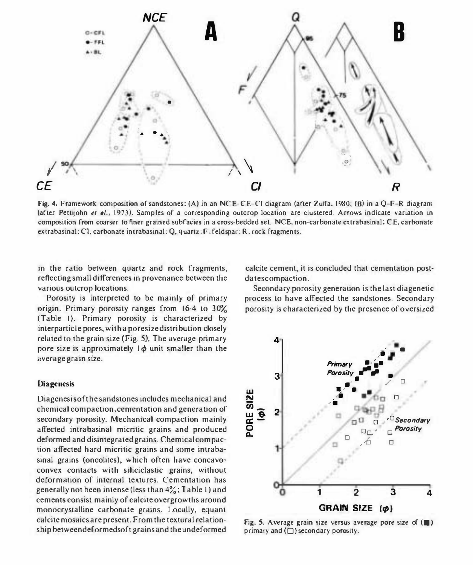

Fig. 4. Framework composition of sandstones: (A) in an NCE-CE-CI diagram (after Zuffa, 1980; (B) in a Q-F-R diagram (after Pettijohn et al., 1973). Samples of a corresponding outcrop location are clustered. Arrows indicate variation in composition from coarser to finer grained subfacies in a cross-bedded set. NCE, non-carbonate extrabasinal; CE, carbonate extrabasinal: Cl, carbonate intrabasinal; Q, quartz; F. feldspar: R, rock fragments.

in the ratio between quartz and rock fragments, reflecting small differences in provenance between the various outcrop locations.

Porosity is interpreted to be mainly of primary origin. Primary porosity ranges from 16:4 to 30% (Table I). Primary porosity is characterized by interparticle pores, with a poresize distribution closely related to the grain size (Fig. 5). The average primary pore size is approximately  $1\phi$  unit smaller than the average grain size.

#### **Diagenesis**

Diagenesisofthe sandstones includes mechanical and chemical compaction. cementation and generation of secondary porosity. Mechanical compaction mainly affected intrabasinal micritic grains and produced deformed and disintegrated grains. Chemical compaction affected hard micritic grains and some intrabasinal grains (oncolites). which often have concavoconvex contacts with siliciclastic grains, without deformation of internal textures. Cementation has generally not been intense (less than  $4\frac{9}{6}$ ; Table 1) and cements consist mainly of calcite overgrowths around monocrystalline carbonate grains. Locally, equant calcite mosaics are present. From the textural relationship betweendef ormedsoft grains and the undef ormed

calcite cement, it is concluded that cementation postdatescompaction.

Secondary porosity generation is the last diagenetic process to have affected the sandstones. Secondary porosity is characterized by the presence of oversized



Fig. 5. Average grain size versus average pore size of  $(\blacksquare)$ primary and  $(\square)$  secondary porosity.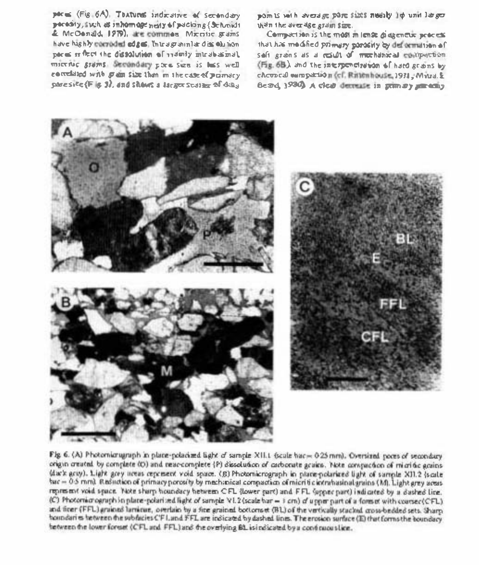perus (Fig. 6A). Thaturus indicative of secondary pecesity, such as inhoming nearly of packing {Schnidt & McOonald, 1979), are common Microsoft grams have highly corroded edges. Intragrammlar discolution paces is first the dissolution of indeely mindbesmal. micribe grams. Secondary pore see is bus well correlated with grain size than in the case of primary pare site (F is 3), and shown a lactor scalar of diax

points with average pore sizes needly be unit larger than the average grain size.

Compution is the most in lense di agencie process that has modified primary parasity by defermition of soft grans as a rout of mechanical contraction (Fig. 6B) and the interpenetration of hard grains by cheopeal ourspation (ef. Rittenhouse 1931, Myra. & Beard 1930) A clear demande in granary among



Fig 6. (A) Photomicrupaph in place-polacized light of sample XII.1 (scale hac= 0.25 mm). Oversized poces of secondary origin created by complete (D) and reac-complete (P) dissolution of carbonate grains. Note compaction of micritic grains (dar's acty). Light acey neers represent void space. (B) Photomicrograph in place-polarized light of sample XII.2 (scale hac = 0.5 mm). Reduction of primacy porcelly by mechanical compaction of micritic intrahasinal grains (M). Light grey aceas represent void space. Note sharp houndary hetween CFL (lower part) and FFL (apper part) indicated by a dashed line. (C) Photomicrograph in place-polarized light of sample VI.2 (scale har = 3 cm) of upper part of a formet with coarsec(CFL) and finer (FFL) grained larrient, overlain by a fine grained bottomeet (BL) of the vertically stacked cross-bedded sets. Sharp homodaries hetween the subfacies CF Land FFL are indicated by dashed lines. The erosion surface (E) that forms the boundary hetween the lower forest (CFL and FFL) and the overlying BL is indicated by a continuousline.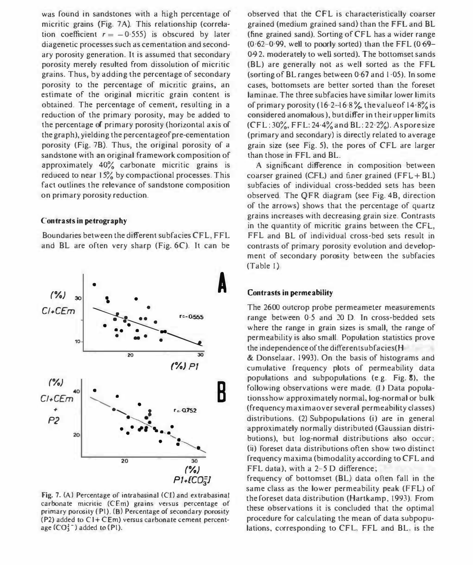was found in sandstones with a high percentage of micritic grains (Fig. 7 A). This relationship (correlation coefficient  $r = -0.555$ ) is obscured by later diagenetic processes such as cementation and secondary porosity generation. It is assumed that secondary porosity merely resulted from dissolution of micritic grains. Thus, by adding the percentage of secondary porosity to the percentage of micritic grains, an estimate of the original micritic grain content is obtained, The percentage of cement, resulting in a reduction of the primary porosity, may be added to the percentage of primary porosity (horizontal axis of the graph), yielding the percentageof pre-cementation porosity (Fig. 7B). Thus, the original porosity of a sandstone with an original framework composition of approximately 40% carbonate micritic grains is reduced to near 15% by compactional processes. This fact outlines the relevance of sandstone composition on primary porosity reduction.

#### Contrasts in petrography

Boundaries between the different subfacies CFL, FFL and BL are often very sharp (Fig.6C). It can be



Fig. 7. (A) Percentage of intrabasinal (Cl) and extrabasinal carbonate micritic (CEm) grains versus percentage of primary porosity (PI). (B) Percentage of secondary porosity  $(P2)$  added to  $C1 + CEm$ ) versus carbonate cement percentage  $(CO_1^2^-)$  added to  $(P1)$ .

observed that the CFL is characteristically coarser grained (medium grained sand) than the FFL and BL (fine grained sand). Sorting of CFL has a wider range  $(0.62-0.99,$  well to poorly sorted) than the FFL  $(0.69-$ 042. moderately to well sorted). The bottomset sands (BL) are generally not as well sorted as the FFL (sorting of BL ranges between 0·67 and 1·05). In some cases, bottomsets are better sorted than the foreset laminae. The three subfacies have similar lower limits of primary porosity (16.2–16.8% thevalue of  $14.8\%$  is considered anomalous), but differ in their upper limits (CFL: 30%, FFL: 24-4% and BL: 2 2·2%). As pore size (primary and secondary) is directly related to average grain size (see Fig. 5), the pores of CFL are larger than those in FFl and BL.

A significant difference in composition between coarser grained (CFL) and finer grained  $(FFL + BL)$ subfacies of individual cross-bedded sets has been observed. The QFR diagram (see Fig. 4B, direction of the arrows) shows that the percentage of quartz grains increases with decreasing grain size. Contrasts in the quantity of micritic grains between the CFL. FFL and BL of individual cross-bed sets result in contrasts of primary porosity evolution and development of secondary porosity between the subfacies (Table I)

## Contrasts in permeability

The 2600 outcrop probe permeameter measurements range between 0·5 and 20 D. In cross-bedded sets where the range in grain sizes is small, the range of permeability is also small. Population statistics prove the independence of the differentsubfacies $(H)$ 

& Donselaar. 1993). On the basis of histograms and cumulative frequency plots of permeability data populations and subpopulations (e.g. Fig. 8). the following observations were made, (I) Data populationsshow approximately normal, log-normal or bulk (frequency maxima over several permeability classes) distributions. (2) Subpopulations (i) are in general approximately normally distributed (Gaussian distributions), but log-normal distributions also occur; (ii) foreset data distributions often show two distinct frequency maxima (bimodality according to CFL and FFL data), with a  $2-5$  D difference;

frequency of bottomset (Bl) data often fall in the same class as the lower permeability peak (FFL) of the foreset data distribution (Hartkamp, 1993). From these observations it is concluded that the optimal procedure for calculating the mean of data subpopulations, corresponding to CFL, FFL and BL. is the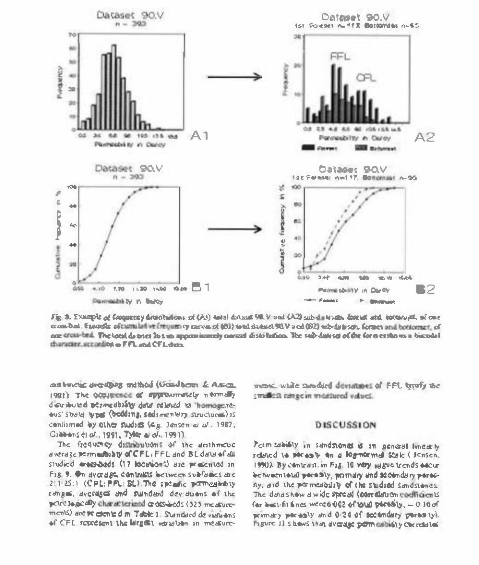

Fig. 3. Example of Cooperrey directors of (As) and downs 90.3/ and (A2) sub antends. Coract and borean mt. of one conservation of number of the entry of the context of the state of the state of the state of the state of the state of the state of the state of the state of the state of the state of the state of the state of the state of one drost bed. The local do sues los an approximately nermal distribution. The sub-date of the fore esshows a bimodel thuratter, according o FFL and CFL data.

and busine averaging untilied (Gondbour & Assen, 1981) The occurrence of opproximately informally discributed permeditibly data related to homogenedus' study types (dedding, sedimentery structures) is contismed by other studies (e.g. Jansen et ul., 1987; Cibbons et of , 1991, Tylde at of .. 1991).

The frequency distinguiusms of the drihmence averase permediably of CFL, FFL and BL daw of all studied energieds (17 lecenions) are presented in FIR 9. On dycrope controls between sylfages are 2.1.25:1 (CPL: PPL: BL) The speake permeabobly ranges, avenues and sundard deviations of the point to goodly change territoid or desibleds (525 mosturements) are per coming of m. Table 1. Standard de viations of CFL sepresent the life of verwhen in measurewent while subduct deviations of FFL tepply the smallest range in measured values.

## DISCUSSION

Permissionly in sendomed is in general linearly related to persoly on a log-normal state ( Jensen, 1990). By centralst, in Fig. 10 very wague trends eacur be tween total porosty, primary and sociondary porocmy, and the permeability of the studied sandstances. The denus how u wide speed (comedation northermis) for both fines were 6 002 of love pirtsly, - 0 16 of primary persaily and 0.24 of secondary persony). Figure 11 s havs that average porm cabisty correlates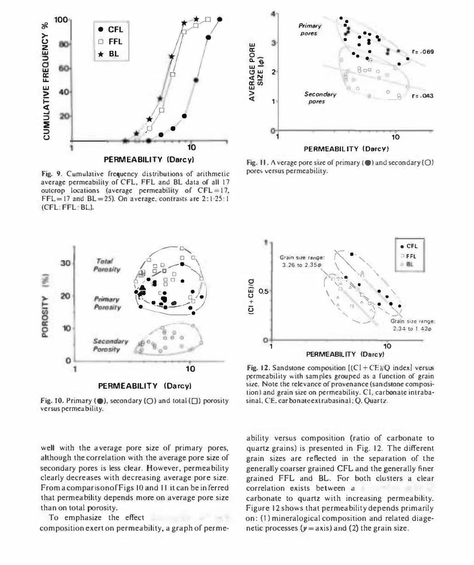

Fig. 9. Cumulative frequency distributions of arithmetic average permeability of CFL, FFL and BL data of all 17 outcrop locations (average permeability of CFL=17,  $FFL = 17$  and  $BL = 25$ ). On average, contrasts are  $2:1:25:1$ (CFL: FFL: BL).



Fig. 10. Primary ( $\bullet$ ), secondary ( $\circ$ ) and total ( $\Box$ ) porosity versus permeability.

well with the average pore size of primary pores, although the correlation with the average pore size of secondary pores is less clear. However, permeability clearly decreases with decreasing average pore size. From a comparison of Figs 10 and 11 it can be inferred that permeability depends more on average pore size than on total porosity.

To emphasize the effect composition exert on permeability, a graph of perme-



Fig. 11. A verage pore size of primary  $(\bullet)$  and secondary  $(\bigcirc)$ pores versus permeability.



Fig. 12. Sandstone composition  $[(C1 + CE)/Q$  index] versus permeability with samples grouped as a function of grain size. Note the relevance of provenance (sandstone composition) and grain size on permeability. CI, carbonate intrabasinal, CE, carbonate extrabasinal; Q. Quartz.

ability versus composition (ratio of carbonate to quartz grains) is presented in Fig. 12. The different grain sizes are reflected in the separation of the generally coarser grained CFL and the generally finer grained FFL and BL. For both clusters a clear correlation exists between a

carbonate to quartz with increasing permeability. Figure 12 shows that permeability depends primarily on: (1) mineralogical composition and related diagenetic processes  $(y = axis)$  and (2) the grain size.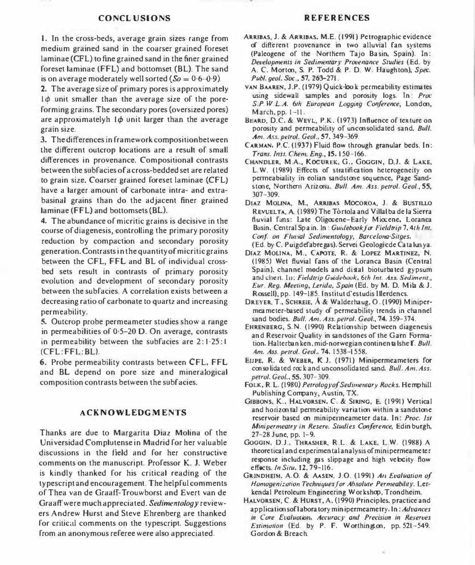#### CONCL USIONS

1. In the cross-beds, average grain sizes range from medium grained sand in the coarser grained foreset laminae (CFL) to fine grained sand in the finer grained foreset laminae (FFL) and bottomset (BL). The sand is on average moderately well sorted ( $\delta \theta = 0.6 - 0.9$ ).

2. The average size of primary pores is approximately  $1\phi$  unit smaller than the average size of the poreforming grains. The secondary pores (oversized pores) are approximatelyh  $I\phi$  unit larger than the average grain size.

3. Thedifferences in frameworkcompositionbetween the different outcrop locations are a result of small differences in provenance. Compositional contrasts between the 5ubf acies of a cross-bedded set are related to grain size. Coarser grained foreset laminae (CFL) have a larger amount of carbonate intra- and extrabasinal grains than do the adjacent finer grained laminae (FFL) and bottomsets (BU.

4. The abundance of micritic grains is decisive in the course of diagenesis, controlling the primary porosity reduction by compaction and secondary porosity generation. Contrasts in the quantity of micritic grains between the CFL, FFL and BL of individual crossbed sets result in contrasts of primary porosity evolution and development of secondary porosity between the subfacies. A correlation exists between a decreasing ratio of carbonate to quartz and increasing permeability.

5. Outcrop probe permeameter studies show a range in permeabilities of 0.5-20 D. On average, contrasts in permeability between the subfacies are  $2:1:25:1$ (CFL:FFL:BL).

6. Probe permeability contrasts between CFL. FFL and BL depend on pore size and mineralogical composition contrasts between the subfacies.

## ACKNOWLEDGMENTS

Thanks are due to Margarita Diaz Molina of the Universidad Complutense in Madrid for her valuable discussions in the field and for her constructive comments on the manuscript. Professor K. J. Weber is kindly thanked for his critical reading of the typescript and encouragement. The helpful comments of Thea van de Graaff-Trouwborst and Evert van de GraaH' were much appreciated. Sedimentology reviewers Andrew Hurst and Steve Ehrenberg are thanked for critical comments on the typescript. Suggestions from an anonymous referee were also appreciated.

## REFERENCES

- ARRIBAS, J. & ARRIBAS. M.E. (1991) Petrographic evidence of different provenance in two alluvial fan systems (Paleogene of the Northern Tajo Ba sin. Spain). In: Developments in Sedimentary Provenance Studies (Ed. by A. C. Morton, S. P. Todd & P. D. W. Haughton), Spec. Publ. geol. Soc., 57, 263-271.
- VAN BAAREN, J.P. (1979) Q uick-look permeability estimates using sidewall samples and porosity logs. In: Proc S.P. W.L.A. 6th European Logging Conference, London, March, pp. 1-11.
- BEARD, D.C. & WEYL, P.K. (1973) Influence of texture on porosity and permeability of unconsolidated sand. Bull. Am. Ass. petrol. Geol., 57,349-369.
- CARMAN, P.c. (1937) Fluid flow through granular beds. In: Trans. Inst. Chem. Eng., 15, 150-166.
- CHANDLER, M.A., KOCUREK, G., GOGGIN, D.J. & LAKE, LW. (1989) Effects of stratification heterogeneity on penneabiality in eolian sandstooe sequence, Page Sandstone, Northern Arizona. Bull. Am. Ass. petrol. Geol., 55, 307-309.
- DIAz MOLlNA, M., ARRIBAS MocoRoA, J. & BUSTlLLO REVUELTA, A. (1989) The Tórtola and Villal ba de la Sierra fluvial fans: Late Oligocene-Early Miocene, Loranca Basin, Central Spa in. In: Guidebook for Fieldrip 7, 4th Int. Con1. on Fluvial Sedimentology, Barcelona-Sitges, (Ed. by C. Puigdefabre pas). Servei Geologicde Ca ta lun ya.
- DIAZ MOLINA, M., CAPOTE, R. & LOPEZ MARTINEZ, N. (1985) Wet fluvial fans of the Loranca Basin (Central Spain), channel models and distal bioturbated gypsum and chert. In: Fieldtrip Guidebook. 6th Int. Ass. Sediment., Eur. Reg. Meeting, Lerida, Spain (Ed. by M. D. Mila & J. Rossell), pp. 149-185. Institut d'estudis lllerdencs.
- DREYER, T., SCHREIE, A & Walderhaug, O. (1990) Minipermea meter-based study of permeability trends in channel sand bodies. Bull. Am. Ass. petrol. Geol., 74, 359-374.
- EHRENBERG, S.N. (1990) Relationship between diagenesis an d Reservoir Quality in sandstones of the Garn Formation. Halterban ken, mid-norwegian continentalshe F. Bull. Am. Ass. petrol. Geol., 74. 1538-1558.
- EIJPE. R. & WEBER, K.J. (1971) Minipermeameters for con so lidated rock and unconsolidated sand. Bull. Am. Ass. petrol. Geol., 55, 307-309.
- FOLK, R.L. (1980) Petrology of Sedimentary Rocks. Hemphill Publishing Company, Austin, TX.
- GIBBONS, K., HALVORSEN, C. & SIRING, E (1991) Vertical and horizontal permeability variation within a sandstone reservoir based on miniperineameter data. In: Proc. Isi Minipermeatry in Reserv. Studies Conference, Edin burgh, 27-28 June, pp. 1-9.
- GOGGIN, D.l., THRASHER, R .L. & LAKE, L.W. (1988) A theore tical and experimental analysis of minipermeame ter response including gas slippage and high velocity flow effects. In Situ, 12,79-116.
- GR1NDHEIM, A.O. & AASEN. J.O. (1991) All Evaluation of Homogenization Techniques for Absolute Permeability. Lerkendal Petroleum Engineering Workshop, Trondheim.
- HALVORSEN, C. & HURST, A. (1990) Principles. practice and applications of laboratory minipermeametry. In: Advances in Core Evaluotion. Accuracy and Precision in Reserves Estimation (Ed. by P. F. W orthington, pp. 521-549. Gordon & Breach.